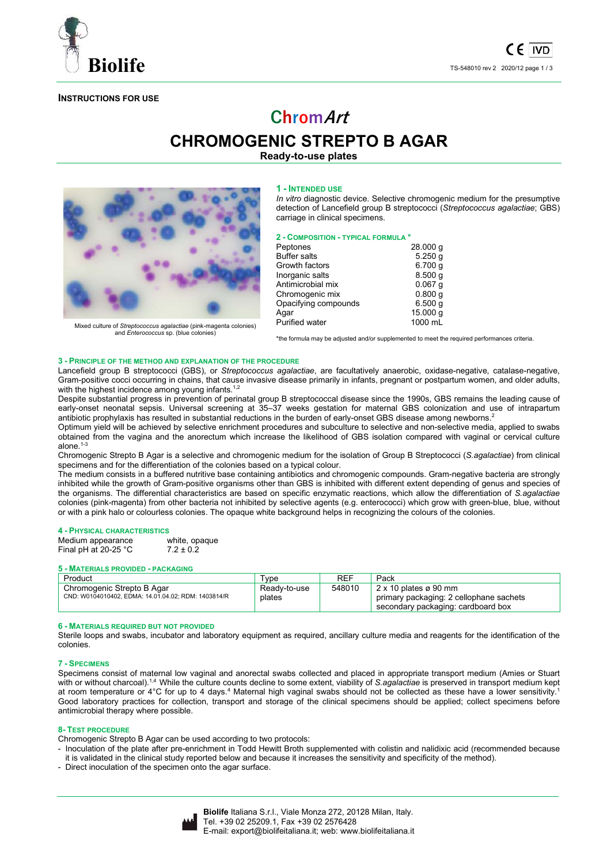

**INSTRUCTIONS FOR USE**

# **ChromArt CHROMOGENIC STREPTO B AGAR**

### **Ready-to-use plates**



*In vitro* diagnostic device. Selective chromogenic medium for the presumptive detection of Lancefield group B streptococci (*Streptococcus agalactiae*; GBS) carriage in clinical specimens.



Mixed culture of *Streptococcus agalactiae* (pink-magenta colonies) and *Enterococcus* sp. (blue colonies)

#### **2 - COMPOSITION - TYPICAL FORMULA \***

| Peptones              | 28.000q            |
|-----------------------|--------------------|
| <b>Buffer salts</b>   | 5.250q             |
| Growth factors        | 6.700q             |
| Inorganic salts       | 8.500q             |
| Antimicrobial mix     | 0.067 <sub>q</sub> |
| Chromogenic mix       | 0.800q             |
| Opacifying compounds  | 6.500q             |
| Aqar                  | 15.000 g           |
| <b>Purified water</b> | 1000 mL            |
|                       |                    |

\*the formula may be adjusted and/or supplemented to meet the required performances criteria.

#### **3 - PRINCIPLE OF THE METHOD AND EXPLANATION OF THE PROCEDURE**

Lancefield group B streptococci (GBS), or *Streptococcus agalactiae*, are facultatively anaerobic, oxidase-negative, catalase-negative, Gram-positive cocci occurring in chains, that cause invasive disease primarily in infants, pregnant or postpartum women, and older adults, with the highest incidence among young infants.<sup>1,2</sup>

Despite substantial progress in prevention of perinatal group B streptococcal disease since the 1990s, GBS remains the leading cause of early-onset neonatal sepsis. Universal screening at 35–37 weeks gestation for maternal GBS colonization and use of intrapartum antibiotic prophylaxis has resulted in substantial reductions in the burden of early-onset GBS disease among newborns.<sup>2</sup>

Optimum yield will be achieved by selective enrichment procedures and subculture to selective and non-selective media, applied to swabs obtained from the vagina and the anorectum which increase the likelihood of GBS isolation compared with vaginal or cervical culture alone $1-3$ 

Chromogenic Strepto B Agar is a selective and chromogenic medium for the isolation of Group B Streptococci (*S.agalactiae*) from clinical specimens and for the differentiation of the colonies based on a typical colour.

The medium consists in a buffered nutritive base containing antibiotics and chromogenic compounds. Gram-negative bacteria are strongly inhibited while the growth of Gram-positive organisms other than GBS is inhibited with different extent depending of genus and species of the organisms. The differential characteristics are based on specific enzymatic reactions, which allow the differentiation of *S.agalactiae* colonies (pink-magenta) from other bacteria not inhibited by selective agents (e.g. enterococci) which grow with green-blue, blue, without or with a pink halo or colourless colonies. The opaque white background helps in recognizing the colours of the colonies.

**4 - PHYSICAL CHARACTERISTICS** Medium appearance white, op<br>Final pH at 20-25 °C  $7.2 + 0.2$ Final pH at  $20-25$   $^{\circ}$ C

#### **5 - MATERIALS PROVIDED - PACKAGING**

| Product                                             | Type         | REF    | Pack                                    |
|-----------------------------------------------------|--------------|--------|-----------------------------------------|
| Chromogenic Strepto B Agar                          | Ready-to-use | 548010 | $2 \times 10$ plates ø 90 mm            |
| CND: W0104010402, EDMA: 14.01.04.02: RDM: 1403814/R | plates       |        | primary packaging: 2 cellophane sachets |
|                                                     |              |        | secondary packaging: cardboard box      |

#### **6 - MATERIALS REQUIRED BUT NOT PROVIDED**

Sterile loops and swabs, incubator and laboratory equipment as required, ancillary culture media and reagents for the identification of the colonies.

#### **7 - SPECIMENS**

Specimens consist of maternal low vaginal and anorectal swabs collected and placed in appropriate transport medium (Amies or Stuart with or without charcoal).<sup>1,4</sup> While the culture counts decline to some extent, viability of *S.agalactiae* is preserved in transport medium kept at room temperature or 4°C for up to 4 days.<sup>4</sup> Maternal high vaginal swabs should not be collected as these have a lower sensitivity.<sup>1</sup> Good laboratory practices for collection, transport and storage of the clinical specimens should be applied; collect specimens before antimicrobial therapy where possible.

#### **8- TEST PROCEDURE**

Chromogenic Strepto B Agar can be used according to two protocols:

- Inoculation of the plate after pre-enrichment in Todd Hewitt Broth supplemented with colistin and nalidixic acid (recommended because it is validated in the clinical study reported below and because it increases the sensitivity and specificity of the method).
- Direct inoculation of the specimen onto the agar surface.

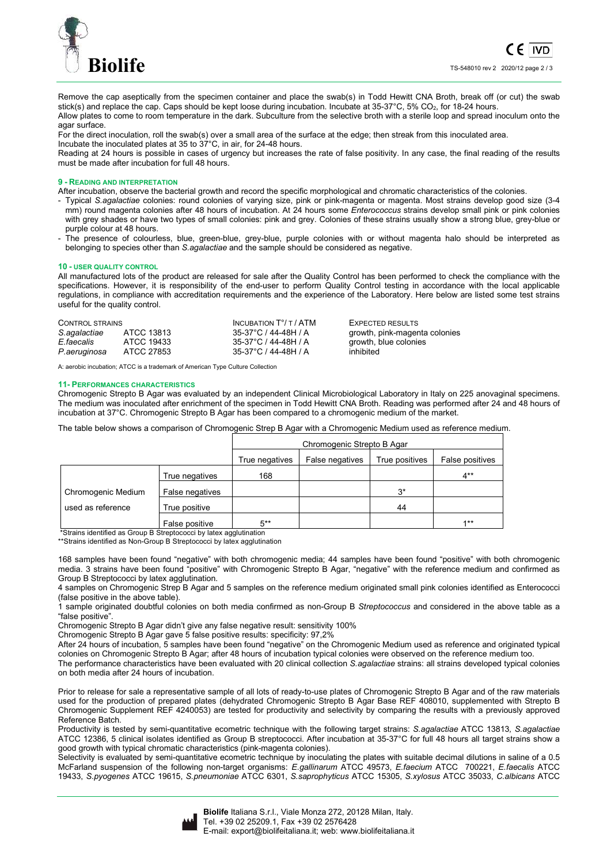

Remove the cap aseptically from the specimen container and place the swab(s) in Todd Hewitt CNA Broth, break off (or cut) the swab stick(s) and replace the cap. Caps should be kept loose during incubation. Incubate at 35-37°C, 5% CO<sub>2</sub>, for 18-24 hours.

Allow plates to come to room temperature in the dark. Subculture from the selective broth with a sterile loop and spread inoculum onto the agar surface.

For the direct inoculation, roll the swab(s) over a small area of the surface at the edge; then streak from this inoculated area. Incubate the inoculated plates at 35 to 37°C, in air, for 24-48 hours.

Reading at 24 hours is possible in cases of urgency but increases the rate of false positivity. In any case, the final reading of the results must be made after incubation for full 48 hours.

#### **9 - READING AND INTERPRETATION**

After incubation, observe the bacterial growth and record the specific morphological and chromatic characteristics of the colonies.

- Typical *S.agalactiae* colonies: round colonies of varying size, pink or pink-magenta or magenta. Most strains develop good size (3-4 mm) round magenta colonies after 48 hours of incubation. At 24 hours some *Enterococcus* strains develop small pink or pink colonies with grey shades or have two types of small colonies: pink and grey. Colonies of these strains usually show a strong blue, grey-blue or purple colour at 48 hours.
- The presence of colourless, blue, green-blue, grey-blue, purple colonies with or without magenta halo should be interpreted as belonging to species other than *S.agalactiae* and the sample should be considered as negative.

#### **10 - USER QUALITY CONTROL**

All manufactured lots of the product are released for sale after the Quality Control has been performed to check the compliance with the specifications. However, it is responsibility of the end-user to perform Quality Control testing in accordance with the local applicable regulations, in compliance with accreditation requirements and the experience of the Laboratory. Here below are listed some test strains useful for the quality control.

| CONTROL STRAINS |            | INCUBATION $T^{\circ}/T$ / ATM | EXPECTED RESULTS              |
|-----------------|------------|--------------------------------|-------------------------------|
| S.agalactiae    | ATCC 13813 | 35-37°C / 44-48H / A           | growth, pink-magenta colonies |
| E faecalis      | ATCC 19433 | 35-37°C / 44-48H / A           | growth, blue colonies         |
| P.aeruginosa    | ATCC 27853 | 35-37°C / 44-48H / A           | inhibited                     |

A: aerobic incubation; ATCC is a trademark of American Type Culture Collection

#### **11- PERFORMANCES CHARACTERISTICS**

Chromogenic Strepto B Agar was evaluated by an independent Clinical Microbiological Laboratory in Italy on 225 anovaginal specimens. The medium was inoculated after enrichment of the specimen in Todd Hewitt CNA Broth. Reading was performed after 24 and 48 hours of incubation at 37°C. Chromogenic Strepto B Agar has been compared to a chromogenic medium of the market.

The table below shows a comparison of Chromogenic Strep B Agar with a Chromogenic Medium used as reference medium.

|                    |                 | Chromogenic Strepto B Agar |                 |                |                 |
|--------------------|-----------------|----------------------------|-----------------|----------------|-----------------|
|                    |                 | True negatives             | False negatives | True positives | False positives |
|                    | True negatives  | 168                        |                 |                | $4**$           |
| Chromogenic Medium | False negatives |                            |                 | $3^*$          |                 |
| used as reference  | True positive   |                            |                 | 44             |                 |
|                    | False positive  | $5***$                     |                 |                | $4**$           |

\*Strains identified as Group B Streptococci by latex agglutination

\*\*Strains identified as Non-Group B Streptococci by latex agglutination

168 samples have been found "negative" with both chromogenic media; 44 samples have been found "positive" with both chromogenic media. 3 strains have been found "positive" with Chromogenic Strepto B Agar, "negative" with the reference medium and confirmed as Group B Streptococci by latex agglutination.

4 samples on Chromogenic Strep B Agar and 5 samples on the reference medium originated small pink colonies identified as Enterococci (false positive in the above table).

1 sample originated doubtful colonies on both media confirmed as non-Group B *Streptococcus* and considered in the above table as a "false positive".

Chromogenic Strepto B Agar didn't give any false negative result: sensitivity 100%

Chromogenic Strepto B Agar gave 5 false positive results: specificity: 97,2%

After 24 hours of incubation, 5 samples have been found "negative" on the Chromogenic Medium used as reference and originated typical colonies on Chromogenic Strepto B Agar; after 48 hours of incubation typical colonies were observed on the reference medium too.

The performance characteristics have been evaluated with 20 clinical collection *S.agalactiae* strains: all strains developed typical colonies on both media after 24 hours of incubation.

Prior to release for sale a representative sample of all lots of ready-to-use plates of Chromogenic Strepto B Agar and of the raw materials used for the production of prepared plates (dehydrated Chromogenic Strepto B Agar Base REF 408010, supplemented with Strepto B Chromogenic Supplement REF 4240053) are tested for productivity and selectivity by comparing the results with a previously approved Reference Batch.

Productivity is tested by semi-quantitative ecometric technique with the following target strains: *S.agalactiae* ATCC 13813*, S.agalactiae* ATCC 12386, 5 clinical isolates identified as Group B streptococci. After incubation at 35-37°C for full 48 hours all target strains show a good growth with typical chromatic characteristics (pink-magenta colonies).

Selectivity is evaluated by semi-quantitative ecometric technique by inoculating the plates with suitable decimal dilutions in saline of a 0.5 McFarland suspension of the following non-target organisms: *E.gallinarum* ATCC 49573, *E.faecium* ATCC 700221, *E.faecalis* ATCC 19433, *S.pyogenes* ATCC 19615, *S.pneumoniae* ATCC 6301, *S.saprophyticus* ATCC 15305, *S.xylosus* ATCC 35033, *C.albicans* ATCC